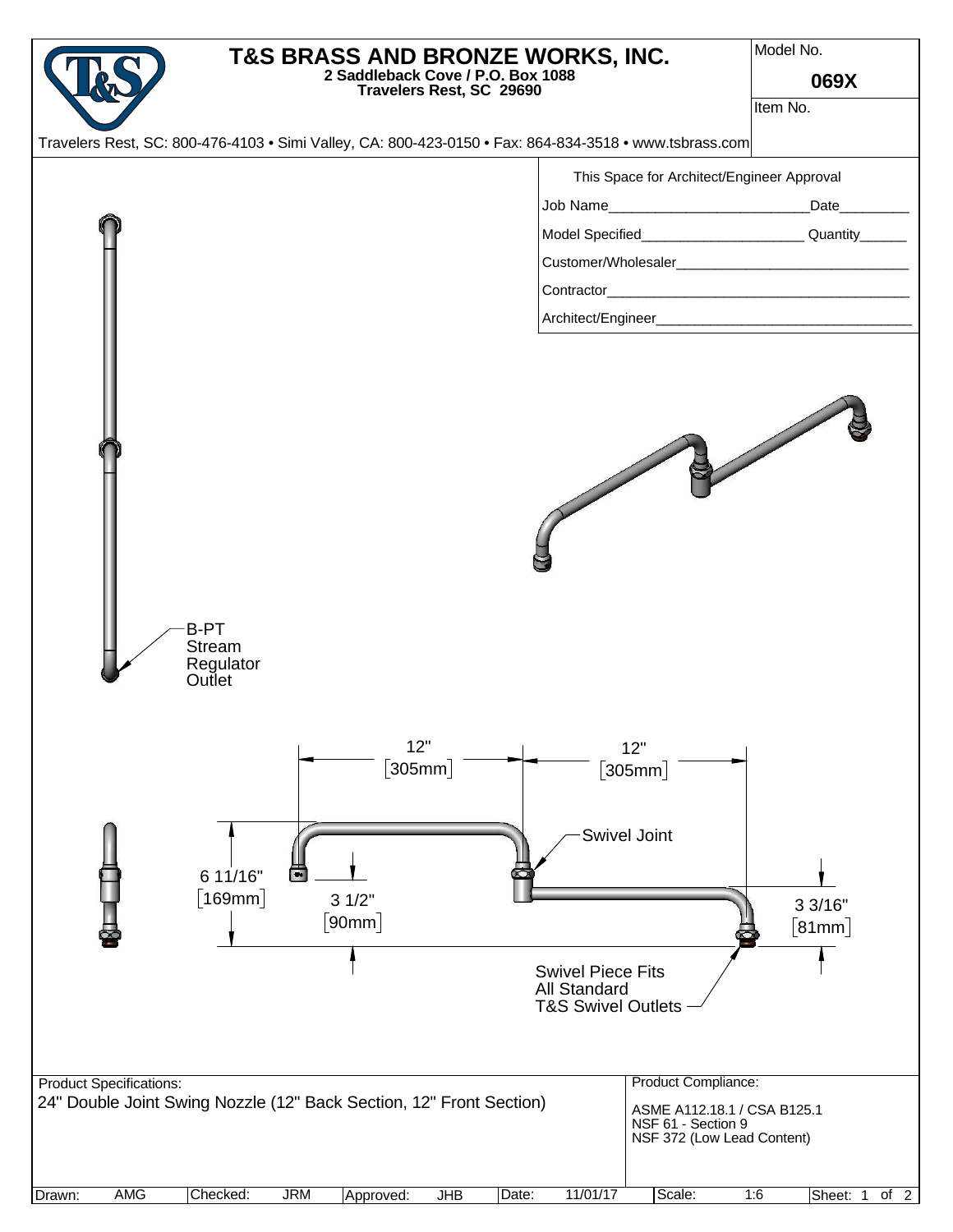